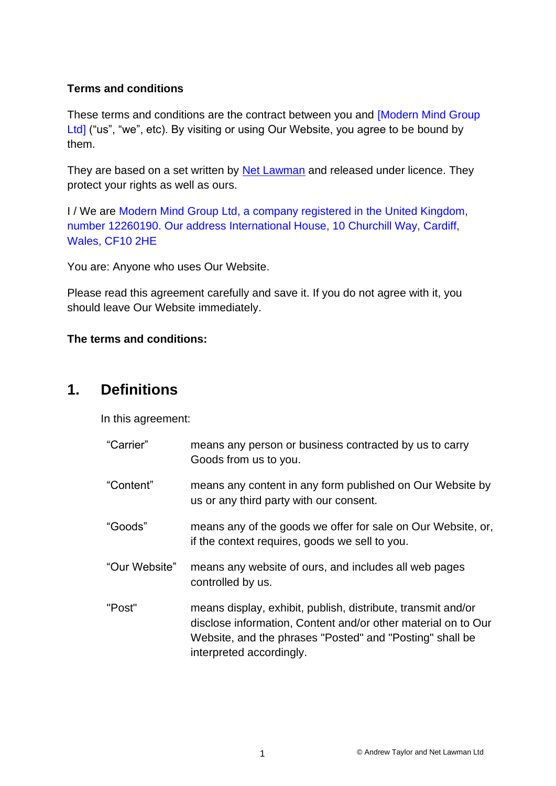### **Terms and conditions**

These terms and conditions are the contract between you and [Modern Mind Group Ltd] ("us", "we", etc). By visiting or using Our Website, you agree to be bound by them.

They are based on a set written by [Net Lawman](https://www.netlawman.co.uk/) and released under licence. They protect your rights as well as ours.

I / We are Modern Mind Group Ltd, a company registered in the United Kingdom, number 12260190. Our address International House, 10 Churchill Way, Cardiff, Wales, CF10 2HE

You are: Anyone who uses Our Website.

Please read this agreement carefully and save it. If you do not agree with it, you should leave Our Website immediately.

### **The terms and conditions:**

## **1. Definitions**

In this agreement:

| "Carrier"     | means any person or business contracted by us to carry<br>Goods from us to you.                                                                                                                                       |
|---------------|-----------------------------------------------------------------------------------------------------------------------------------------------------------------------------------------------------------------------|
| "Content"     | means any content in any form published on Our Website by<br>us or any third party with our consent.                                                                                                                  |
| "Goods"       | means any of the goods we offer for sale on Our Website, or,<br>if the context requires, goods we sell to you.                                                                                                        |
| "Our Website" | means any website of ours, and includes all web pages<br>controlled by us.                                                                                                                                            |
| "Post"        | means display, exhibit, publish, distribute, transmit and/or<br>disclose information, Content and/or other material on to Our<br>Website, and the phrases "Posted" and "Posting" shall be<br>interpreted accordingly. |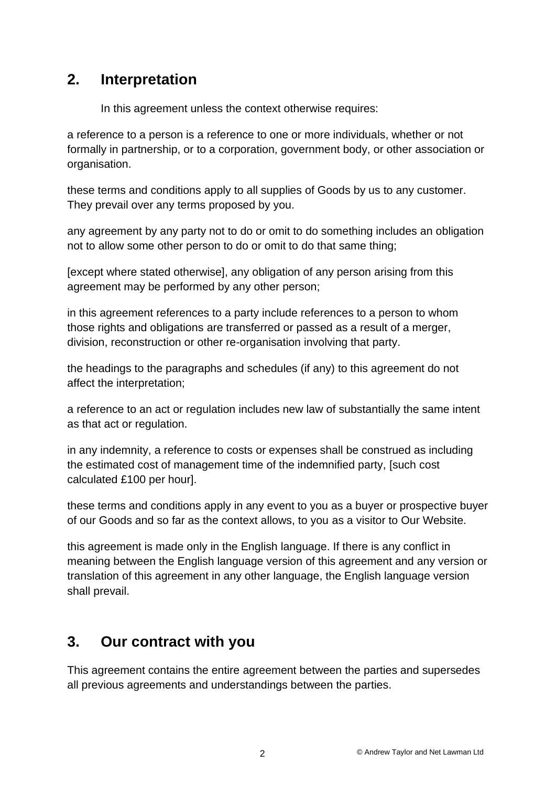# **2. Interpretation**

In this agreement unless the context otherwise requires:

a reference to a person is a reference to one or more individuals, whether or not formally in partnership, or to a corporation, government body, or other association or organisation.

these terms and conditions apply to all supplies of Goods by us to any customer. They prevail over any terms proposed by you.

any agreement by any party not to do or omit to do something includes an obligation not to allow some other person to do or omit to do that same thing;

[except where stated otherwise], any obligation of any person arising from this agreement may be performed by any other person;

in this agreement references to a party include references to a person to whom those rights and obligations are transferred or passed as a result of a merger, division, reconstruction or other re-organisation involving that party.

the headings to the paragraphs and schedules (if any) to this agreement do not affect the interpretation;

a reference to an act or regulation includes new law of substantially the same intent as that act or regulation.

in any indemnity, a reference to costs or expenses shall be construed as including the estimated cost of management time of the indemnified party, [such cost calculated £100 per hour].

these terms and conditions apply in any event to you as a buyer or prospective buyer of our Goods and so far as the context allows, to you as a visitor to Our Website.

this agreement is made only in the English language. If there is any conflict in meaning between the English language version of this agreement and any version or translation of this agreement in any other language, the English language version shall prevail.

# **3. Our contract with you**

This agreement contains the entire agreement between the parties and supersedes all previous agreements and understandings between the parties.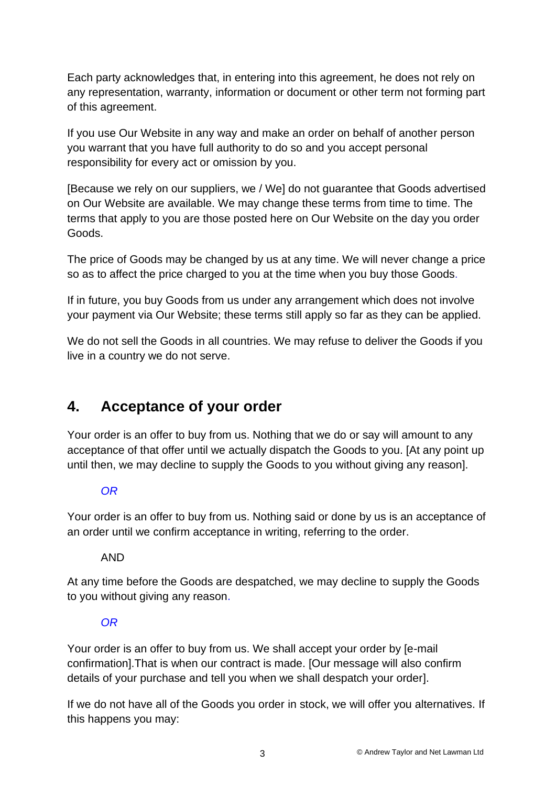Each party acknowledges that, in entering into this agreement, he does not rely on any representation, warranty, information or document or other term not forming part of this agreement.

If you use Our Website in any way and make an order on behalf of another person you warrant that you have full authority to do so and you accept personal responsibility for every act or omission by you.

[Because we rely on our suppliers, we / We] do not guarantee that Goods advertised on Our Website are available. We may change these terms from time to time. The terms that apply to you are those posted here on Our Website on the day you order Goods.

The price of Goods may be changed by us at any time. We will never change a price so as to affect the price charged to you at the time when you buy those Goods.

If in future, you buy Goods from us under any arrangement which does not involve your payment via Our Website; these terms still apply so far as they can be applied.

We do not sell the Goods in all countries. We may refuse to deliver the Goods if you live in a country we do not serve.

# **4. Acceptance of your order**

Your order is an offer to buy from us. Nothing that we do or say will amount to any acceptance of that offer until we actually dispatch the Goods to you. [At any point up until then, we may decline to supply the Goods to you without giving any reason].

### *OR*

Your order is an offer to buy from us. Nothing said or done by us is an acceptance of an order until we confirm acceptance in writing, referring to the order.

### AND

At any time before the Goods are despatched, we may decline to supply the Goods to you without giving any reason.

### *OR*

Your order is an offer to buy from us. We shall accept your order by [e-mail confirmation].That is when our contract is made. [Our message will also confirm details of your purchase and tell you when we shall despatch your order].

If we do not have all of the Goods you order in stock, we will offer you alternatives. If this happens you may: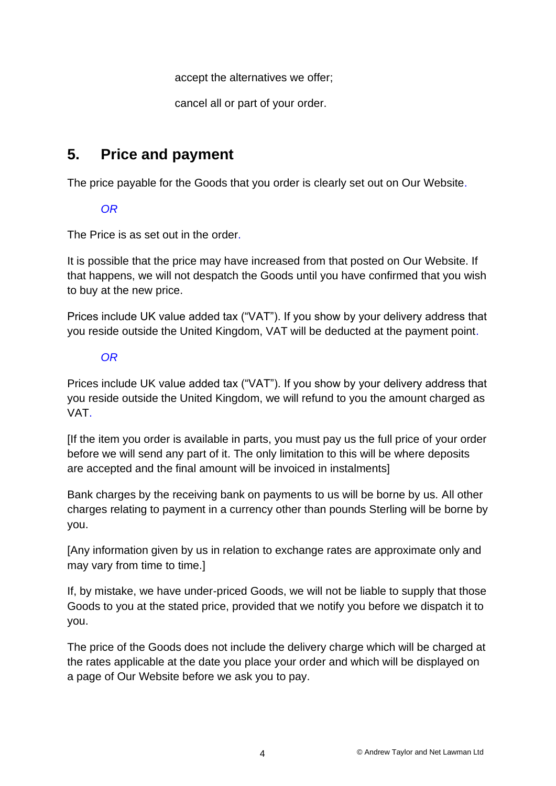accept the alternatives we offer;

cancel all or part of your order.

## **5. Price and payment**

The price payable for the Goods that you order is clearly set out on Our Website.

### *OR*

The Price is as set out in the order.

It is possible that the price may have increased from that posted on Our Website. If that happens, we will not despatch the Goods until you have confirmed that you wish to buy at the new price.

Prices include UK value added tax ("VAT"). If you show by your delivery address that you reside outside the United Kingdom, VAT will be deducted at the payment point.

### *OR*

Prices include UK value added tax ("VAT"). If you show by your delivery address that you reside outside the United Kingdom, we will refund to you the amount charged as VAT.

[If the item you order is available in parts, you must pay us the full price of your order before we will send any part of it. The only limitation to this will be where deposits are accepted and the final amount will be invoiced in instalments]

Bank charges by the receiving bank on payments to us will be borne by us. All other charges relating to payment in a currency other than pounds Sterling will be borne by you.

[Any information given by us in relation to exchange rates are approximate only and may vary from time to time.]

If, by mistake, we have under-priced Goods, we will not be liable to supply that those Goods to you at the stated price, provided that we notify you before we dispatch it to you.

The price of the Goods does not include the delivery charge which will be charged at the rates applicable at the date you place your order and which will be displayed on a page of Our Website before we ask you to pay.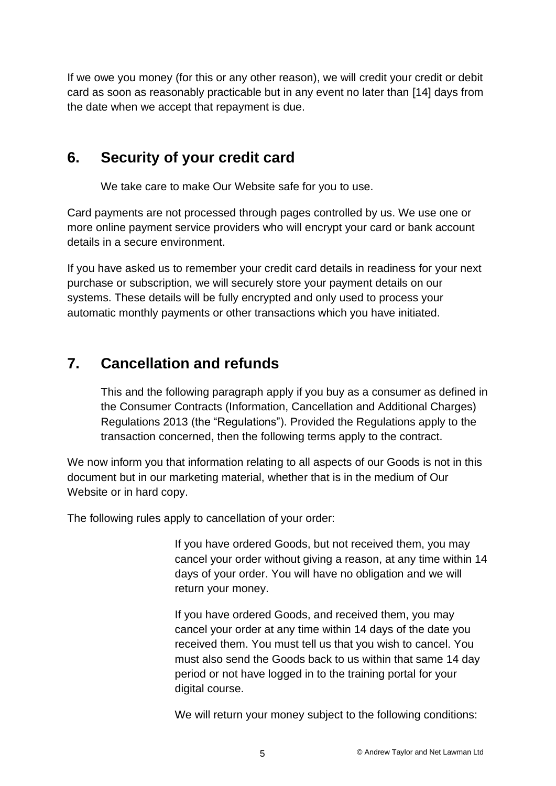If we owe you money (for this or any other reason), we will credit your credit or debit card as soon as reasonably practicable but in any event no later than [14] days from the date when we accept that repayment is due.

## **6. Security of your credit card**

We take care to make Our Website safe for you to use.

Card payments are not processed through pages controlled by us. We use one or more online payment service providers who will encrypt your card or bank account details in a secure environment.

If you have asked us to remember your credit card details in readiness for your next purchase or subscription, we will securely store your payment details on our systems. These details will be fully encrypted and only used to process your automatic monthly payments or other transactions which you have initiated.

# **7. Cancellation and refunds**

This and the following paragraph apply if you buy as a consumer as defined in the Consumer Contracts (Information, Cancellation and Additional Charges) Regulations 2013 (the "Regulations"). Provided the Regulations apply to the transaction concerned, then the following terms apply to the contract.

We now inform you that information relating to all aspects of our Goods is not in this document but in our marketing material, whether that is in the medium of Our Website or in hard copy.

The following rules apply to cancellation of your order:

If you have ordered Goods, but not received them, you may cancel your order without giving a reason, at any time within 14 days of your order. You will have no obligation and we will return your money.

If you have ordered Goods, and received them, you may cancel your order at any time within 14 days of the date you received them. You must tell us that you wish to cancel. You must also send the Goods back to us within that same 14 day period or not have logged in to the training portal for your digital course.

We will return your money subject to the following conditions: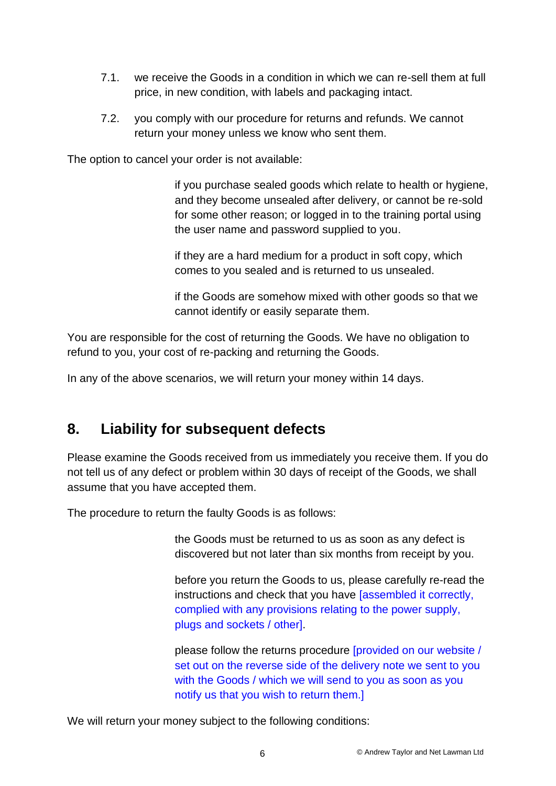- 7.1. we receive the Goods in a condition in which we can re-sell them at full price, in new condition, with labels and packaging intact.
- 7.2. you comply with our procedure for returns and refunds. We cannot return your money unless we know who sent them.

The option to cancel your order is not available:

if you purchase sealed goods which relate to health or hygiene, and they become unsealed after delivery, or cannot be re-sold for some other reason; or logged in to the training portal using the user name and password supplied to you.

if they are a hard medium for a product in soft copy, which comes to you sealed and is returned to us unsealed.

if the Goods are somehow mixed with other goods so that we cannot identify or easily separate them.

You are responsible for the cost of returning the Goods. We have no obligation to refund to you, your cost of re-packing and returning the Goods.

In any of the above scenarios, we will return your money within 14 days.

# **8. Liability for subsequent defects**

Please examine the Goods received from us immediately you receive them. If you do not tell us of any defect or problem within 30 days of receipt of the Goods, we shall assume that you have accepted them.

The procedure to return the faulty Goods is as follows:

the Goods must be returned to us as soon as any defect is discovered but not later than six months from receipt by you.

before you return the Goods to us, please carefully re-read the instructions and check that you have [assembled it correctly, complied with any provisions relating to the power supply, plugs and sockets / other].

please follow the returns procedure [provided on our website / set out on the reverse side of the delivery note we sent to you with the Goods / which we will send to you as soon as you notify us that you wish to return them.]

We will return your money subject to the following conditions: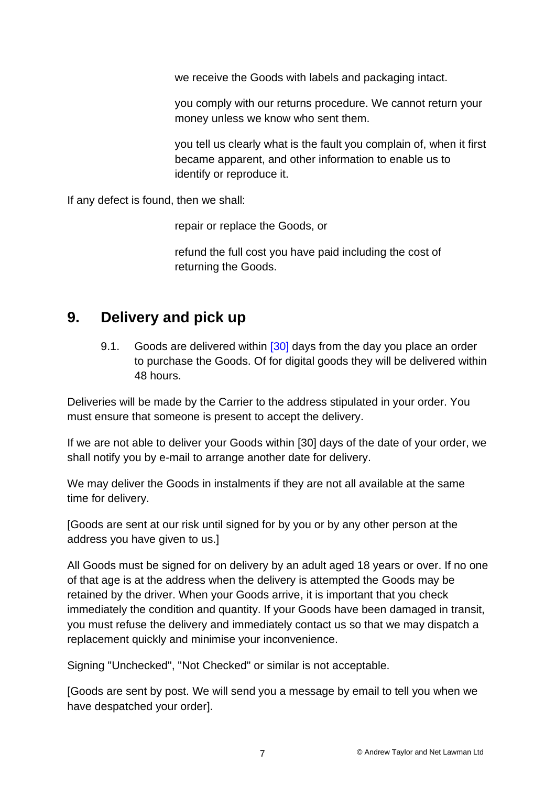we receive the Goods with labels and packaging intact.

you comply with our returns procedure. We cannot return your money unless we know who sent them.

you tell us clearly what is the fault you complain of, when it first became apparent, and other information to enable us to identify or reproduce it.

If any defect is found, then we shall:

repair or replace the Goods, or

refund the full cost you have paid including the cost of returning the Goods.

## **9. Delivery and pick up**

9.1. Goods are delivered within [30] days from the day you place an order to purchase the Goods. Of for digital goods they will be delivered within 48 hours.

Deliveries will be made by the Carrier to the address stipulated in your order. You must ensure that someone is present to accept the delivery.

If we are not able to deliver your Goods within [30] days of the date of your order, we shall notify you by e-mail to arrange another date for delivery.

We may deliver the Goods in instalments if they are not all available at the same time for delivery.

[Goods are sent at our risk until signed for by you or by any other person at the address you have given to us.]

All Goods must be signed for on delivery by an adult aged 18 years or over. If no one of that age is at the address when the delivery is attempted the Goods may be retained by the driver. When your Goods arrive, it is important that you check immediately the condition and quantity. If your Goods have been damaged in transit, you must refuse the delivery and immediately contact us so that we may dispatch a replacement quickly and minimise your inconvenience.

Signing "Unchecked", "Not Checked" or similar is not acceptable.

[Goods are sent by post. We will send you a message by email to tell you when we have despatched your order].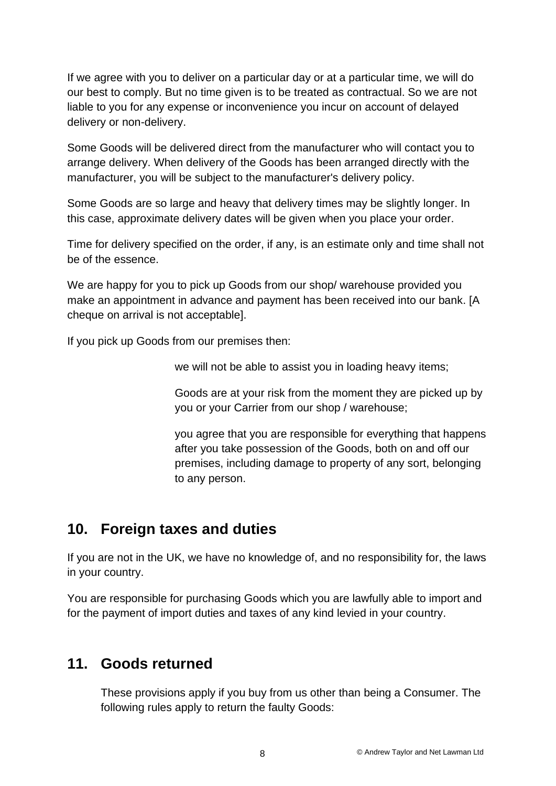If we agree with you to deliver on a particular day or at a particular time, we will do our best to comply. But no time given is to be treated as contractual. So we are not liable to you for any expense or inconvenience you incur on account of delayed delivery or non-delivery.

Some Goods will be delivered direct from the manufacturer who will contact you to arrange delivery. When delivery of the Goods has been arranged directly with the manufacturer, you will be subject to the manufacturer's delivery policy.

Some Goods are so large and heavy that delivery times may be slightly longer. In this case, approximate delivery dates will be given when you place your order.

Time for delivery specified on the order, if any, is an estimate only and time shall not be of the essence.

We are happy for you to pick up Goods from our shop/ warehouse provided you make an appointment in advance and payment has been received into our bank. [A cheque on arrival is not acceptable].

If you pick up Goods from our premises then:

we will not be able to assist you in loading heavy items;

Goods are at your risk from the moment they are picked up by you or your Carrier from our shop / warehouse;

you agree that you are responsible for everything that happens after you take possession of the Goods, both on and off our premises, including damage to property of any sort, belonging to any person.

## **10. Foreign taxes and duties**

If you are not in the UK, we have no knowledge of, and no responsibility for, the laws in your country.

You are responsible for purchasing Goods which you are lawfully able to import and for the payment of import duties and taxes of any kind levied in your country.

## **11. Goods returned**

These provisions apply if you buy from us other than being a Consumer. The following rules apply to return the faulty Goods: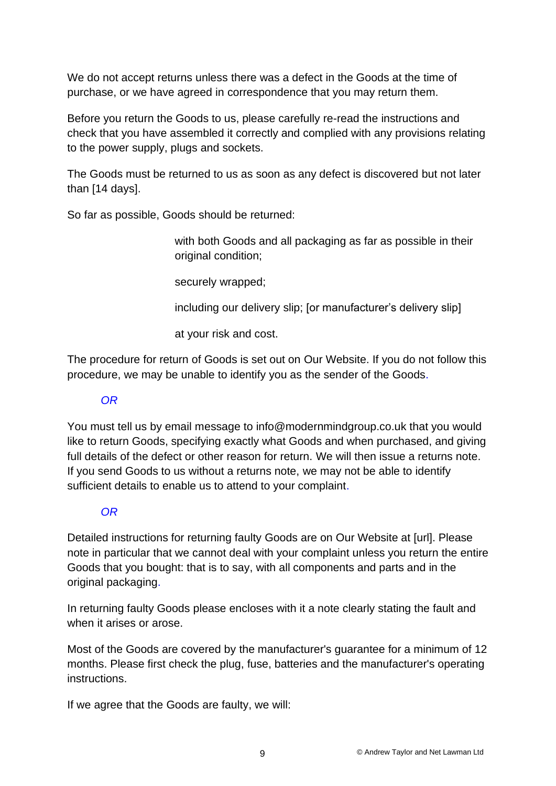We do not accept returns unless there was a defect in the Goods at the time of purchase, or we have agreed in correspondence that you may return them.

Before you return the Goods to us, please carefully re-read the instructions and check that you have assembled it correctly and complied with any provisions relating to the power supply, plugs and sockets.

The Goods must be returned to us as soon as any defect is discovered but not later than [14 days].

So far as possible, Goods should be returned:

with both Goods and all packaging as far as possible in their original condition;

securely wrapped;

including our delivery slip; [or manufacturer's delivery slip]

at your risk and cost.

The procedure for return of Goods is set out on Our Website. If you do not follow this procedure, we may be unable to identify you as the sender of the Goods.

### *OR*

You must tell us by email message to info@modernmindgroup.co.uk that you would like to return Goods, specifying exactly what Goods and when purchased, and giving full details of the defect or other reason for return. We will then issue a returns note. If you send Goods to us without a returns note, we may not be able to identify sufficient details to enable us to attend to your complaint.

### *OR*

Detailed instructions for returning faulty Goods are on Our Website at [url]. Please note in particular that we cannot deal with your complaint unless you return the entire Goods that you bought: that is to say, with all components and parts and in the original packaging.

In returning faulty Goods please encloses with it a note clearly stating the fault and when it arises or arose.

Most of the Goods are covered by the manufacturer's guarantee for a minimum of 12 months. Please first check the plug, fuse, batteries and the manufacturer's operating instructions.

If we agree that the Goods are faulty, we will: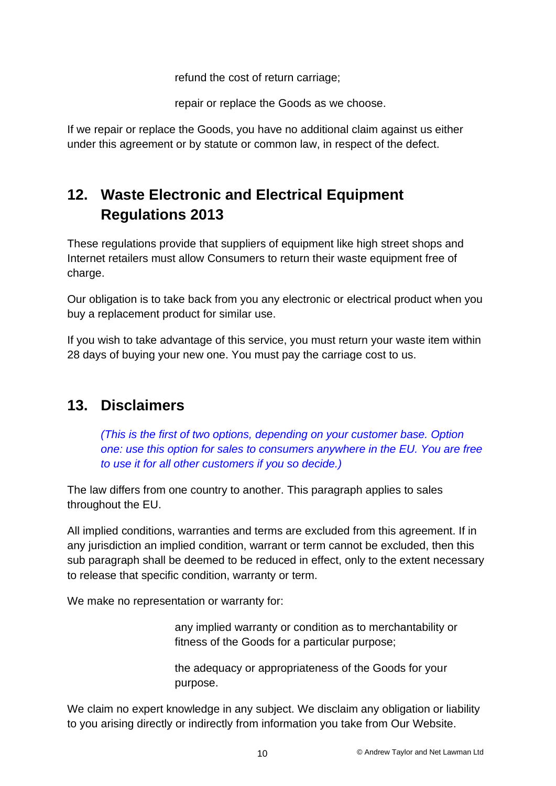refund the cost of return carriage;

repair or replace the Goods as we choose.

If we repair or replace the Goods, you have no additional claim against us either under this agreement or by statute or common law, in respect of the defect.

# **12. Waste Electronic and Electrical Equipment Regulations 2013**

These regulations provide that suppliers of equipment like high street shops and Internet retailers must allow Consumers to return their waste equipment free of charge.

Our obligation is to take back from you any electronic or electrical product when you buy a replacement product for similar use.

If you wish to take advantage of this service, you must return your waste item within 28 days of buying your new one. You must pay the carriage cost to us.

# **13. Disclaimers**

*(This is the first of two options, depending on your customer base. Option one: use this option for sales to consumers anywhere in the EU. You are free to use it for all other customers if you so decide.)*

The law differs from one country to another. This paragraph applies to sales throughout the EU.

All implied conditions, warranties and terms are excluded from this agreement. If in any jurisdiction an implied condition, warrant or term cannot be excluded, then this sub paragraph shall be deemed to be reduced in effect, only to the extent necessary to release that specific condition, warranty or term.

We make no representation or warranty for:

any implied warranty or condition as to merchantability or fitness of the Goods for a particular purpose;

the adequacy or appropriateness of the Goods for your purpose.

We claim no expert knowledge in any subject. We disclaim any obligation or liability to you arising directly or indirectly from information you take from Our Website.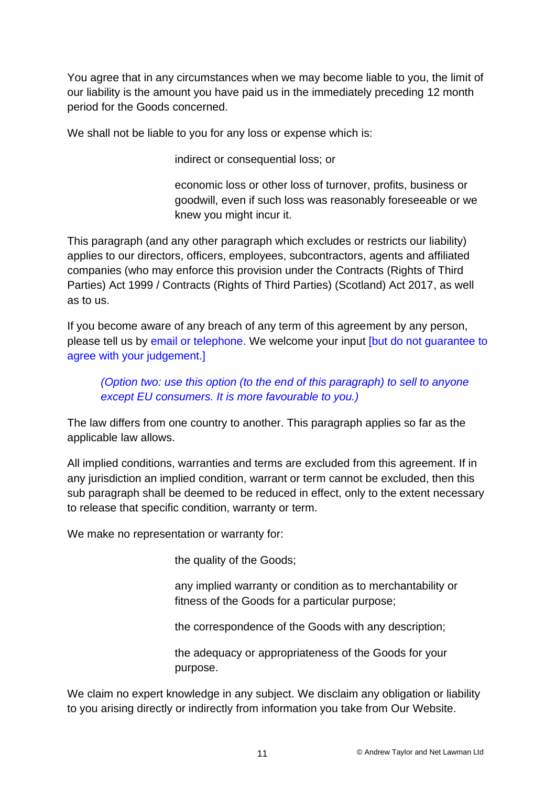You agree that in any circumstances when we may become liable to you, the limit of our liability is the amount you have paid us in the immediately preceding 12 month period for the Goods concerned.

We shall not be liable to you for any loss or expense which is:

indirect or consequential loss; or

economic loss or other loss of turnover, profits, business or goodwill, even if such loss was reasonably foreseeable or we knew you might incur it.

This paragraph (and any other paragraph which excludes or restricts our liability) applies to our directors, officers, employees, subcontractors, agents and affiliated companies (who may enforce this provision under the Contracts (Rights of Third Parties) Act 1999 / Contracts (Rights of Third Parties) (Scotland) Act 2017, as well as to us.

If you become aware of any breach of any term of this agreement by any person, please tell us by email or telephone. We welcome your input [but do not guarantee to agree with your judgement.]

*(Option two: use this option (to the end of this paragraph) to sell to anyone except EU consumers. It is more favourable to you.)* 

The law differs from one country to another. This paragraph applies so far as the applicable law allows.

All implied conditions, warranties and terms are excluded from this agreement. If in any jurisdiction an implied condition, warrant or term cannot be excluded, then this sub paragraph shall be deemed to be reduced in effect, only to the extent necessary to release that specific condition, warranty or term.

We make no representation or warranty for:

the quality of the Goods;

any implied warranty or condition as to merchantability or fitness of the Goods for a particular purpose;

the correspondence of the Goods with any description;

the adequacy or appropriateness of the Goods for your purpose.

We claim no expert knowledge in any subject. We disclaim any obligation or liability to you arising directly or indirectly from information you take from Our Website.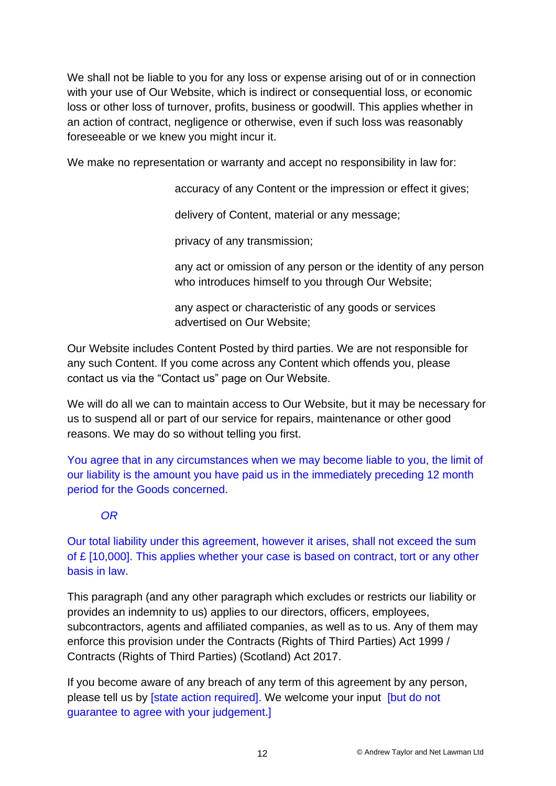We shall not be liable to you for any loss or expense arising out of or in connection with your use of Our Website, which is indirect or consequential loss, or economic loss or other loss of turnover, profits, business or goodwill. This applies whether in an action of contract, negligence or otherwise, even if such loss was reasonably foreseeable or we knew you might incur it.

We make no representation or warranty and accept no responsibility in law for:

accuracy of any Content or the impression or effect it gives;

delivery of Content, material or any message;

privacy of any transmission;

any act or omission of any person or the identity of any person who introduces himself to you through Our Website;

any aspect or characteristic of any goods or services advertised on Our Website;

Our Website includes Content Posted by third parties. We are not responsible for any such Content. If you come across any Content which offends you, please contact us via the "Contact us" page on Our Website.

We will do all we can to maintain access to Our Website, but it may be necessary for us to suspend all or part of our service for repairs, maintenance or other good reasons. We may do so without telling you first.

You agree that in any circumstances when we may become liable to you, the limit of our liability is the amount you have paid us in the immediately preceding 12 month period for the Goods concerned.

### *OR*

Our total liability under this agreement, however it arises, shall not exceed the sum of £ [10,000]. This applies whether your case is based on contract, tort or any other basis in law.

This paragraph (and any other paragraph which excludes or restricts our liability or provides an indemnity to us) applies to our directors, officers, employees, subcontractors, agents and affiliated companies, as well as to us. Any of them may enforce this provision under the Contracts (Rights of Third Parties) Act 1999 / Contracts (Rights of Third Parties) (Scotland) Act 2017.

If you become aware of any breach of any term of this agreement by any person, please tell us by [state action required]. We welcome your input [but do not guarantee to agree with your judgement.]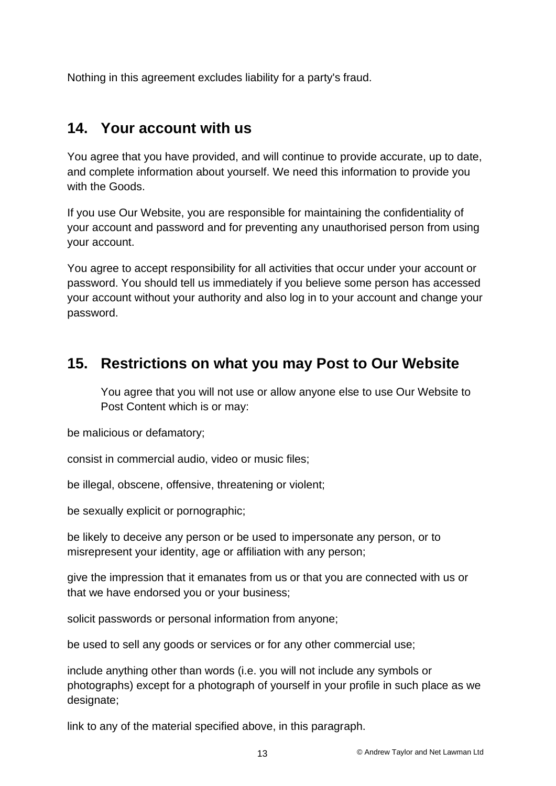Nothing in this agreement excludes liability for a party's fraud.

## **14. Your account with us**

You agree that you have provided, and will continue to provide accurate, up to date, and complete information about yourself. We need this information to provide you with the Goods.

If you use Our Website, you are responsible for maintaining the confidentiality of your account and password and for preventing any unauthorised person from using your account.

You agree to accept responsibility for all activities that occur under your account or password. You should tell us immediately if you believe some person has accessed your account without your authority and also log in to your account and change your password.

# **15. Restrictions on what you may Post to Our Website**

You agree that you will not use or allow anyone else to use Our Website to Post Content which is or may:

be malicious or defamatory;

consist in commercial audio, video or music files;

be illegal, obscene, offensive, threatening or violent;

be sexually explicit or pornographic;

be likely to deceive any person or be used to impersonate any person, or to misrepresent your identity, age or affiliation with any person;

give the impression that it emanates from us or that you are connected with us or that we have endorsed you or your business;

solicit passwords or personal information from anyone;

be used to sell any goods or services or for any other commercial use;

include anything other than words (i.e. you will not include any symbols or photographs) except for a photograph of yourself in your profile in such place as we designate;

link to any of the material specified above, in this paragraph.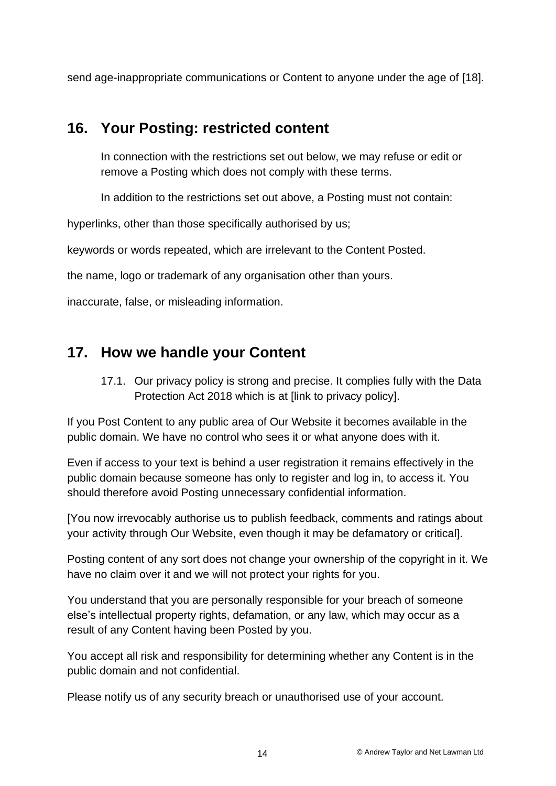send age-inappropriate communications or Content to anyone under the age of [18].

## **16. Your Posting: restricted content**

In connection with the restrictions set out below, we may refuse or edit or remove a Posting which does not comply with these terms.

In addition to the restrictions set out above, a Posting must not contain:

hyperlinks, other than those specifically authorised by us;

keywords or words repeated, which are irrelevant to the Content Posted.

the name, logo or trademark of any organisation other than yours.

inaccurate, false, or misleading information.

## **17. How we handle your Content**

17.1. Our privacy policy is strong and precise. It complies fully with the Data Protection Act 2018 which is at [link to privacy policy].

If you Post Content to any public area of Our Website it becomes available in the public domain. We have no control who sees it or what anyone does with it.

Even if access to your text is behind a user registration it remains effectively in the public domain because someone has only to register and log in, to access it. You should therefore avoid Posting unnecessary confidential information.

[You now irrevocably authorise us to publish feedback, comments and ratings about your activity through Our Website, even though it may be defamatory or critical].

Posting content of any sort does not change your ownership of the copyright in it. We have no claim over it and we will not protect your rights for you.

You understand that you are personally responsible for your breach of someone else's intellectual property rights, defamation, or any law, which may occur as a result of any Content having been Posted by you.

You accept all risk and responsibility for determining whether any Content is in the public domain and not confidential.

Please notify us of any security breach or unauthorised use of your account.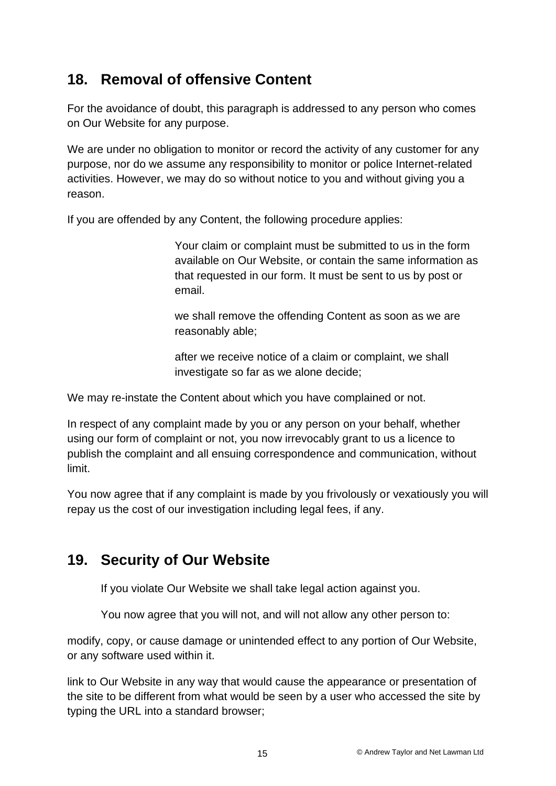# **18. Removal of offensive Content**

For the avoidance of doubt, this paragraph is addressed to any person who comes on Our Website for any purpose.

We are under no obligation to monitor or record the activity of any customer for any purpose, nor do we assume any responsibility to monitor or police Internet-related activities. However, we may do so without notice to you and without giving you a reason.

If you are offended by any Content, the following procedure applies:

Your claim or complaint must be submitted to us in the form available on Our Website, or contain the same information as that requested in our form. It must be sent to us by post or email.

we shall remove the offending Content as soon as we are reasonably able;

after we receive notice of a claim or complaint, we shall investigate so far as we alone decide;

We may re-instate the Content about which you have complained or not.

In respect of any complaint made by you or any person on your behalf, whether using our form of complaint or not, you now irrevocably grant to us a licence to publish the complaint and all ensuing correspondence and communication, without limit.

You now agree that if any complaint is made by you frivolously or vexatiously you will repay us the cost of our investigation including legal fees, if any.

# **19. Security of Our Website**

If you violate Our Website we shall take legal action against you.

You now agree that you will not, and will not allow any other person to:

modify, copy, or cause damage or unintended effect to any portion of Our Website, or any software used within it.

link to Our Website in any way that would cause the appearance or presentation of the site to be different from what would be seen by a user who accessed the site by typing the URL into a standard browser;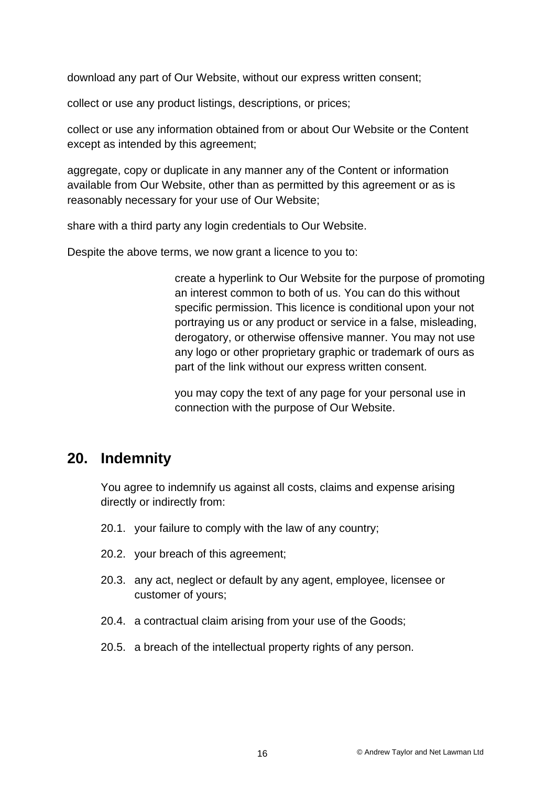download any part of Our Website, without our express written consent;

collect or use any product listings, descriptions, or prices;

collect or use any information obtained from or about Our Website or the Content except as intended by this agreement;

aggregate, copy or duplicate in any manner any of the Content or information available from Our Website, other than as permitted by this agreement or as is reasonably necessary for your use of Our Website;

share with a third party any login credentials to Our Website.

Despite the above terms, we now grant a licence to you to:

create a hyperlink to Our Website for the purpose of promoting an interest common to both of us. You can do this without specific permission. This licence is conditional upon your not portraying us or any product or service in a false, misleading, derogatory, or otherwise offensive manner. You may not use any logo or other proprietary graphic or trademark of ours as part of the link without our express written consent.

you may copy the text of any page for your personal use in connection with the purpose of Our Website.

### **20. Indemnity**

You agree to indemnify us against all costs, claims and expense arising directly or indirectly from:

- 20.1. your failure to comply with the law of any country;
- 20.2. your breach of this agreement;
- 20.3. any act, neglect or default by any agent, employee, licensee or customer of yours;
- 20.4. a contractual claim arising from your use of the Goods;
- 20.5. a breach of the intellectual property rights of any person.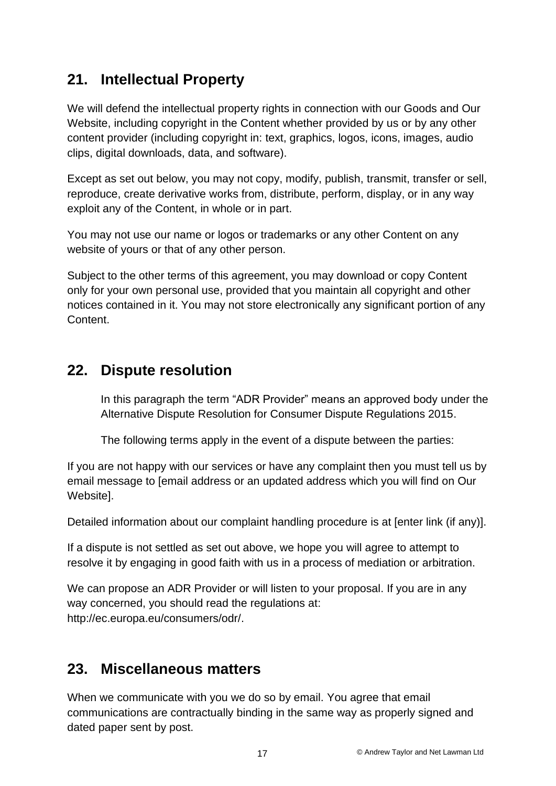# **21. Intellectual Property**

We will defend the intellectual property rights in connection with our Goods and Our Website, including copyright in the Content whether provided by us or by any other content provider (including copyright in: text, graphics, logos, icons, images, audio clips, digital downloads, data, and software).

Except as set out below, you may not copy, modify, publish, transmit, transfer or sell, reproduce, create derivative works from, distribute, perform, display, or in any way exploit any of the Content, in whole or in part.

You may not use our name or logos or trademarks or any other Content on any website of yours or that of any other person.

Subject to the other terms of this agreement, you may download or copy Content only for your own personal use, provided that you maintain all copyright and other notices contained in it. You may not store electronically any significant portion of any Content.

## **22. Dispute resolution**

In this paragraph the term "ADR Provider" means an approved body under the Alternative Dispute Resolution for Consumer Dispute Regulations 2015.

The following terms apply in the event of a dispute between the parties:

If you are not happy with our services or have any complaint then you must tell us by email message to [email address or an updated address which you will find on Our Website].

Detailed information about our complaint handling procedure is at [enter link (if any)].

If a dispute is not settled as set out above, we hope you will agree to attempt to resolve it by engaging in good faith with us in a process of mediation or arbitration.

We can propose an ADR Provider or will listen to your proposal. If you are in any way concerned, you should read the regulations at: [http://ec.europa.eu/consumers/odr/.](http://ec.europa.eu/consumers/odr/)

# **23. Miscellaneous matters**

When we communicate with you we do so by email. You agree that email communications are contractually binding in the same way as properly signed and dated paper sent by post.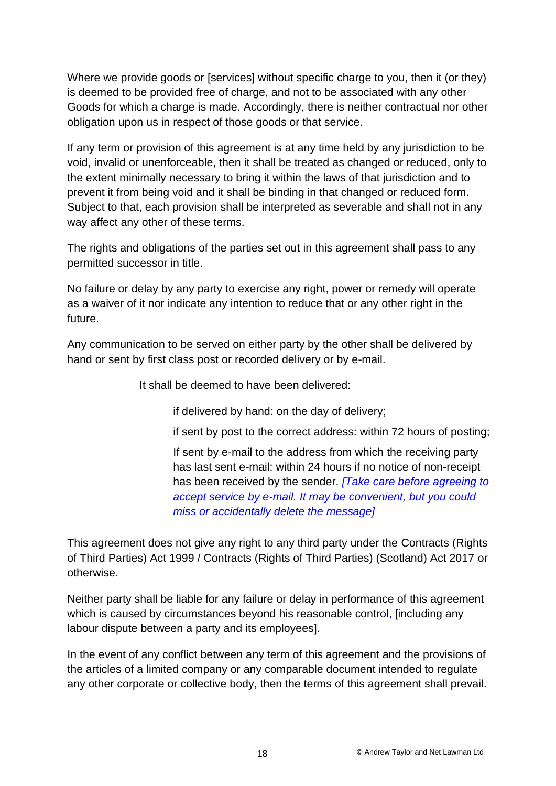Where we provide goods or [services] without specific charge to you, then it (or they) is deemed to be provided free of charge, and not to be associated with any other Goods for which a charge is made. Accordingly, there is neither contractual nor other obligation upon us in respect of those goods or that service.

If any term or provision of this agreement is at any time held by any jurisdiction to be void, invalid or unenforceable, then it shall be treated as changed or reduced, only to the extent minimally necessary to bring it within the laws of that jurisdiction and to prevent it from being void and it shall be binding in that changed or reduced form. Subject to that, each provision shall be interpreted as severable and shall not in any way affect any other of these terms.

The rights and obligations of the parties set out in this agreement shall pass to any permitted successor in title.

No failure or delay by any party to exercise any right, power or remedy will operate as a waiver of it nor indicate any intention to reduce that or any other right in the future.

Any communication to be served on either party by the other shall be delivered by hand or sent by first class post or recorded delivery or by e-mail.

It shall be deemed to have been delivered:

if delivered by hand: on the day of delivery;

if sent by post to the correct address: within 72 hours of posting;

If sent by e-mail to the address from which the receiving party has last sent e-mail: within 24 hours if no notice of non-receipt has been received by the sender. *[Take care before agreeing to accept service by e-mail. It may be convenient, but you could miss or accidentally delete the message]*

This agreement does not give any right to any third party under the Contracts (Rights of Third Parties) Act 1999 / Contracts (Rights of Third Parties) (Scotland) Act 2017 or otherwise.

Neither party shall be liable for any failure or delay in performance of this agreement which is caused by circumstances beyond his reasonable control, [including any labour dispute between a party and its employees].

In the event of any conflict between any term of this agreement and the provisions of the articles of a limited company or any comparable document intended to regulate any other corporate or collective body, then the terms of this agreement shall prevail.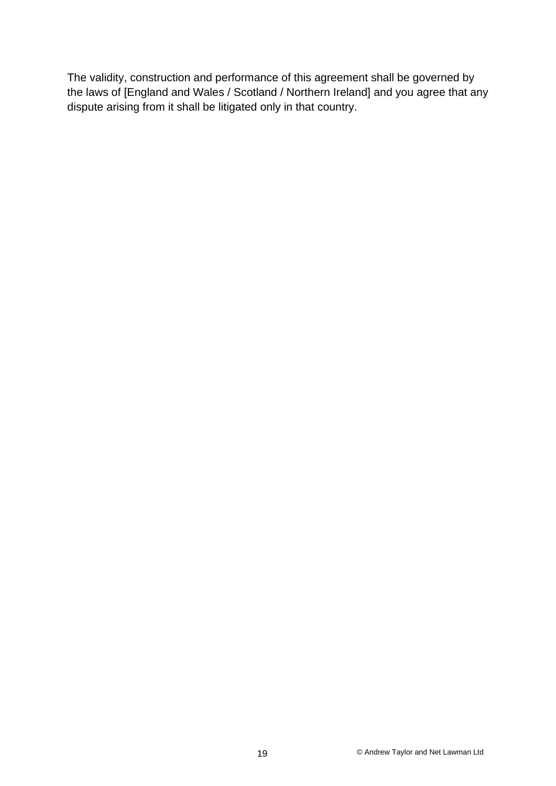The validity, construction and performance of this agreement shall be governed by the laws of [England and Wales / Scotland / Northern Ireland] and you agree that any dispute arising from it shall be litigated only in that country.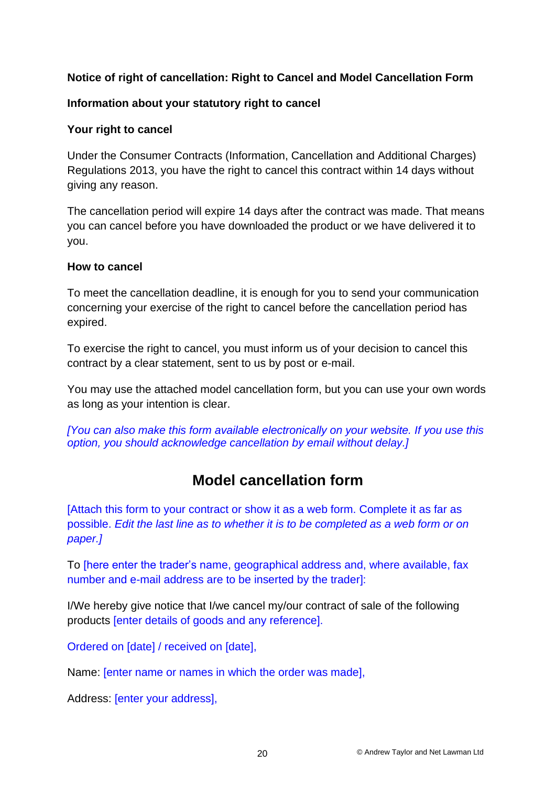### **Notice of right of cancellation: Right to Cancel and Model Cancellation Form**

### **Information about your statutory right to cancel**

### **Your right to cancel**

Under the Consumer Contracts (Information, Cancellation and Additional Charges) Regulations 2013, you have the right to cancel this contract within 14 days without giving any reason.

The cancellation period will expire 14 days after the contract was made. That means you can cancel before you have downloaded the product or we have delivered it to you.

### **How to cancel**

To meet the cancellation deadline, it is enough for you to send your communication concerning your exercise of the right to cancel before the cancellation period has expired.

To exercise the right to cancel, you must inform us of your decision to cancel this contract by a clear statement, sent to us by post or e-mail.

You may use the attached model cancellation form, but you can use your own words as long as your intention is clear.

*[You can also make this form available electronically on your website. If you use this option, you should acknowledge cancellation by email without delay.]*

# **Model cancellation form**

[Attach this form to your contract or show it as a web form. Complete it as far as possible. *Edit the last line as to whether it is to be completed as a web form or on paper.]*

To [here enter the trader's name, geographical address and, where available, fax number and e-mail address are to be inserted by the trader]:

I/We hereby give notice that I/we cancel my/our contract of sale of the following products [enter details of goods and any reference].

Ordered on [date] / received on [date],

Name: [enter name or names in which the order was made],

Address: [enter your address],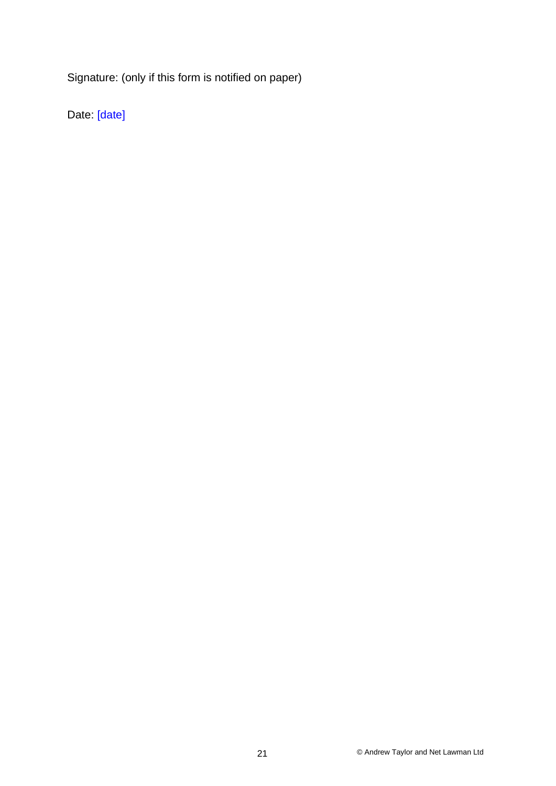Signature: (only if this form is notified on paper)

Date: [date]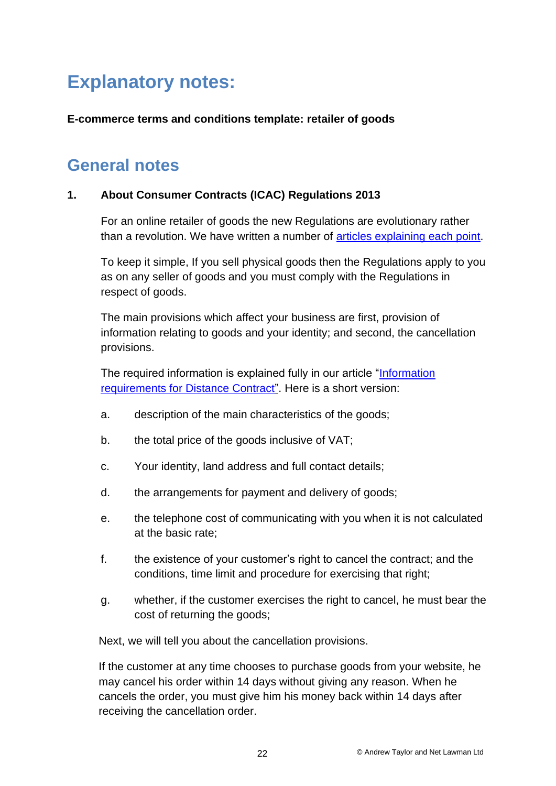# **Explanatory notes:**

### **E-commerce terms and conditions template: retailer of goods**

# **General notes**

### **1. About Consumer Contracts (ICAC) Regulations 2013**

For an online retailer of goods the new Regulations are evolutionary rather than a revolution. We have written a number of [articles explaining each point.](http://www.netlawman.co.uk/ial/selling-goods-and-services)

To keep it simple, If you sell physical goods then the Regulations apply to you as on any seller of goods and you must comply with the Regulations in respect of goods.

The main provisions which affect your business are first, provision of information relating to goods and your identity; and second, the cancellation provisions.

The required information is explained fully in our article ["Information](http://www.netlawman.co.uk/ia/ccicac-information-required-distance-contracts)  [requirements for Distance Contract"](http://www.netlawman.co.uk/ia/ccicac-information-required-distance-contracts). Here is a short version:

- a. description of the main characteristics of the goods;
- b. the total price of the goods inclusive of VAT;
- c. Your identity, land address and full contact details;
- d. the arrangements for payment and delivery of goods;
- e. the telephone cost of communicating with you when it is not calculated at the basic rate;
- f. the existence of your customer's right to cancel the contract; and the conditions, time limit and procedure for exercising that right;
- g. whether, if the customer exercises the right to cancel, he must bear the cost of returning the goods;

Next, we will tell you about the cancellation provisions.

If the customer at any time chooses to purchase goods from your website, he may cancel his order within 14 days without giving any reason. When he cancels the order, you must give him his money back within 14 days after receiving the cancellation order.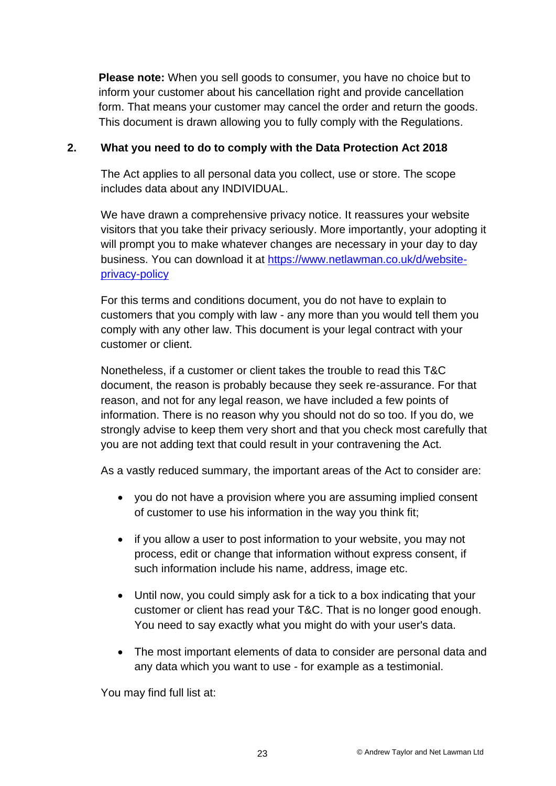**Please note:** When you sell goods to consumer, you have no choice but to inform your customer about his cancellation right and provide cancellation form. That means your customer may cancel the order and return the goods. This document is drawn allowing you to fully comply with the Regulations.

### **2. What you need to do to comply with the Data Protection Act 2018**

The Act applies to all personal data you collect, use or store. The scope includes data about any INDIVIDUAL.

We have drawn a comprehensive privacy notice. It reassures your website visitors that you take their privacy seriously. More importantly, your adopting it will prompt you to make whatever changes are necessary in your day to day business. You can download it at [https://www.netlawman.co.uk/d/website](https://www.netlawman.co.uk/d/website-privacy-policy)[privacy-policy](https://www.netlawman.co.uk/d/website-privacy-policy)

For this terms and conditions document, you do not have to explain to customers that you comply with law - any more than you would tell them you comply with any other law. This document is your legal contract with your customer or client.

Nonetheless, if a customer or client takes the trouble to read this T&C document, the reason is probably because they seek re-assurance. For that reason, and not for any legal reason, we have included a few points of information. There is no reason why you should not do so too. If you do, we strongly advise to keep them very short and that you check most carefully that you are not adding text that could result in your contravening the Act.

As a vastly reduced summary, the important areas of the Act to consider are:

- you do not have a provision where you are assuming implied consent of customer to use his information in the way you think fit;
- if you allow a user to post information to your website, you may not process, edit or change that information without express consent, if such information include his name, address, image etc.
- Until now, you could simply ask for a tick to a box indicating that your customer or client has read your T&C. That is no longer good enough. You need to say exactly what you might do with your user's data.
- The most important elements of data to consider are personal data and any data which you want to use - for example as a testimonial.

You may find full list at: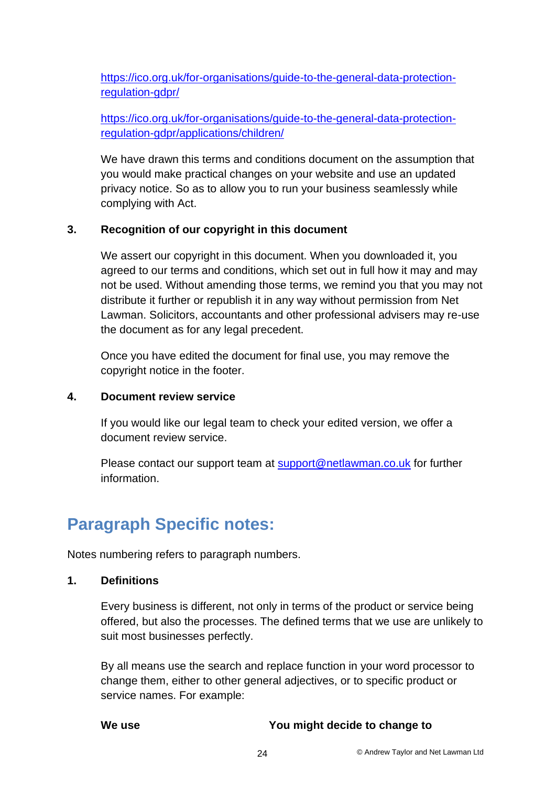[https://ico.org.uk/for-organisations/guide-to-the-general-data-protection](https://ico.org.uk/for-organisations/guide-to-the-general-data-protection-regulation-gdpr/)[regulation-gdpr/](https://ico.org.uk/for-organisations/guide-to-the-general-data-protection-regulation-gdpr/)

[https://ico.org.uk/for-organisations/guide-to-the-general-data-protection](https://ico.org.uk/for-organisations/guide-to-the-general-data-protection-regulation-gdpr/applications/children/)[regulation-gdpr/applications/children/](https://ico.org.uk/for-organisations/guide-to-the-general-data-protection-regulation-gdpr/applications/children/)

We have drawn this terms and conditions document on the assumption that you would make practical changes on your website and use an updated privacy notice. So as to allow you to run your business seamlessly while complying with Act.

### **3. Recognition of our copyright in this document**

We assert our copyright in this document. When you downloaded it, you agreed to our terms and conditions, which set out in full how it may and may not be used. Without amending those terms, we remind you that you may not distribute it further or republish it in any way without permission from Net Lawman. Solicitors, accountants and other professional advisers may re-use the document as for any legal precedent.

Once you have edited the document for final use, you may remove the copyright notice in the footer.

### **4. Document review service**

If you would like our legal team to check your edited version, we offer a document review service.

Please contact our support team at [support@netlawman.co.uk](mailto:support@netlawman.co.uk) for further information.

# **Paragraph Specific notes:**

Notes numbering refers to paragraph numbers.

### **1. Definitions**

Every business is different, not only in terms of the product or service being offered, but also the processes. The defined terms that we use are unlikely to suit most businesses perfectly.

By all means use the search and replace function in your word processor to change them, either to other general adjectives, or to specific product or service names. For example:

**We use You might decide to change to**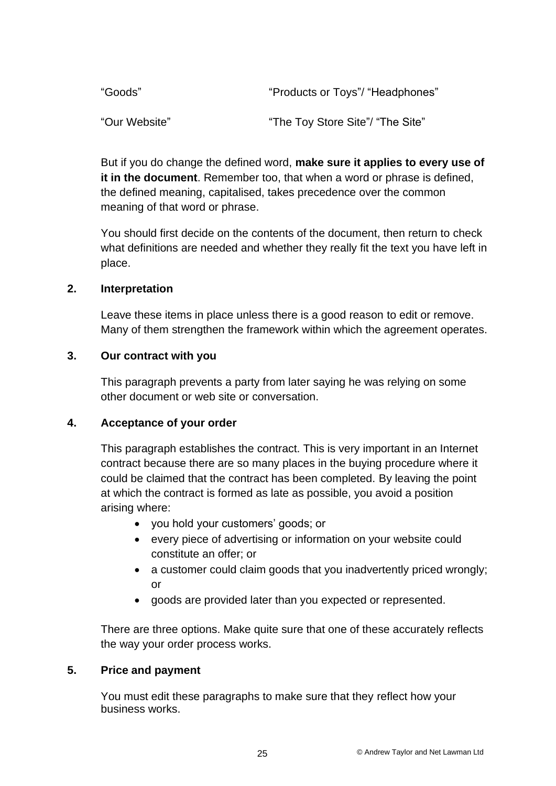| "Goods"       | "Products or Toys"/ "Headphones" |
|---------------|----------------------------------|
| "Our Website" | "The Toy Store Site"/ "The Site" |

But if you do change the defined word, **make sure it applies to every use of it in the document**. Remember too, that when a word or phrase is defined, the defined meaning, capitalised, takes precedence over the common meaning of that word or phrase.

You should first decide on the contents of the document, then return to check what definitions are needed and whether they really fit the text you have left in place.

### **2. Interpretation**

Leave these items in place unless there is a good reason to edit or remove. Many of them strengthen the framework within which the agreement operates.

### **3. Our contract with you**

This paragraph prevents a party from later saying he was relying on some other document or web site or conversation.

### **4. Acceptance of your order**

This paragraph establishes the contract. This is very important in an Internet contract because there are so many places in the buying procedure where it could be claimed that the contract has been completed. By leaving the point at which the contract is formed as late as possible, you avoid a position arising where:

- you hold your customers' goods; or
- every piece of advertising or information on your website could constitute an offer; or
- a customer could claim goods that you inadvertently priced wrongly; or
- goods are provided later than you expected or represented.

There are three options. Make quite sure that one of these accurately reflects the way your order process works.

### **5. Price and payment**

You must edit these paragraphs to make sure that they reflect how your business works.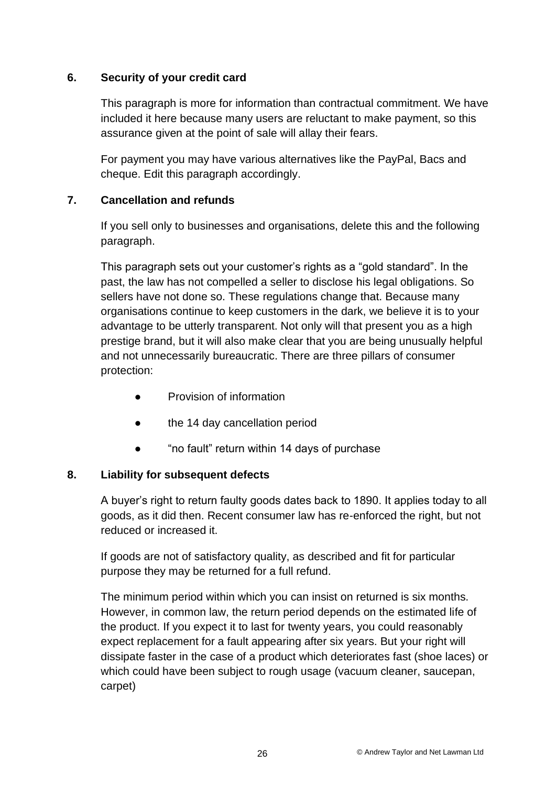### **6. Security of your credit card**

This paragraph is more for information than contractual commitment. We have included it here because many users are reluctant to make payment, so this assurance given at the point of sale will allay their fears.

For payment you may have various alternatives like the PayPal, Bacs and cheque. Edit this paragraph accordingly.

### **7. Cancellation and refunds**

If you sell only to businesses and organisations, delete this and the following paragraph.

This paragraph sets out your customer's rights as a "gold standard". In the past, the law has not compelled a seller to disclose his legal obligations. So sellers have not done so. These regulations change that. Because many organisations continue to keep customers in the dark, we believe it is to your advantage to be utterly transparent. Not only will that present you as a high prestige brand, but it will also make clear that you are being unusually helpful and not unnecessarily bureaucratic. There are three pillars of consumer protection:

- Provision of information
- the 14 day cancellation period
- "no fault" return within 14 days of purchase

### **8. Liability for subsequent defects**

A buyer's right to return faulty goods dates back to 1890. It applies today to all goods, as it did then. Recent consumer law has re-enforced the right, but not reduced or increased it.

If goods are not of satisfactory quality, as described and fit for particular purpose they may be returned for a full refund.

The minimum period within which you can insist on returned is six months. However, in common law, the return period depends on the estimated life of the product. If you expect it to last for twenty years, you could reasonably expect replacement for a fault appearing after six years. But your right will dissipate faster in the case of a product which deteriorates fast (shoe laces) or which could have been subject to rough usage (vacuum cleaner, saucepan, carpet)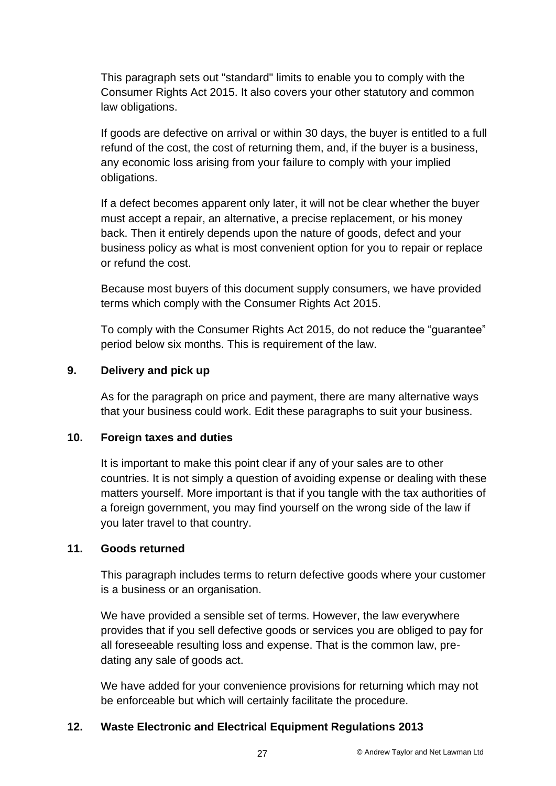This paragraph sets out "standard" limits to enable you to comply with the Consumer Rights Act 2015. It also covers your other statutory and common law obligations.

If goods are defective on arrival or within 30 days, the buyer is entitled to a full refund of the cost, the cost of returning them, and, if the buyer is a business, any economic loss arising from your failure to comply with your implied obligations.

If a defect becomes apparent only later, it will not be clear whether the buyer must accept a repair, an alternative, a precise replacement, or his money back. Then it entirely depends upon the nature of goods, defect and your business policy as what is most convenient option for you to repair or replace or refund the cost.

Because most buyers of this document supply consumers, we have provided terms which comply with the Consumer Rights Act 2015.

To comply with the Consumer Rights Act 2015, do not reduce the "guarantee" period below six months. This is requirement of the law.

### **9. Delivery and pick up**

As for the paragraph on price and payment, there are many alternative ways that your business could work. Edit these paragraphs to suit your business.

### **10. Foreign taxes and duties**

It is important to make this point clear if any of your sales are to other countries. It is not simply a question of avoiding expense or dealing with these matters yourself. More important is that if you tangle with the tax authorities of a foreign government, you may find yourself on the wrong side of the law if you later travel to that country.

### **11. Goods returned**

This paragraph includes terms to return defective goods where your customer is a business or an organisation.

We have provided a sensible set of terms. However, the law everywhere provides that if you sell defective goods or services you are obliged to pay for all foreseeable resulting loss and expense. That is the common law, predating any sale of goods act.

We have added for your convenience provisions for returning which may not be enforceable but which will certainly facilitate the procedure.

### **12. Waste Electronic and Electrical Equipment Regulations 2013**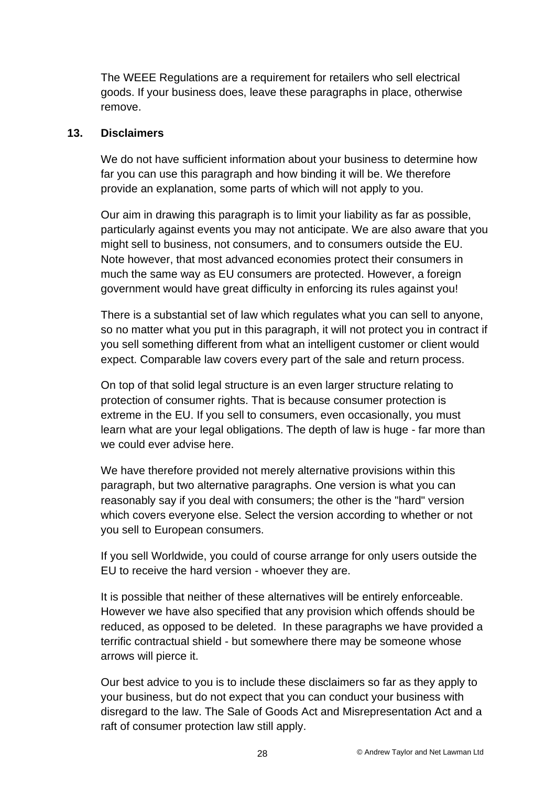The WEEE Regulations are a requirement for retailers who sell electrical goods. If your business does, leave these paragraphs in place, otherwise remove.

### **13. Disclaimers**

We do not have sufficient information about your business to determine how far you can use this paragraph and how binding it will be. We therefore provide an explanation, some parts of which will not apply to you.

Our aim in drawing this paragraph is to limit your liability as far as possible, particularly against events you may not anticipate. We are also aware that you might sell to business, not consumers, and to consumers outside the EU. Note however, that most advanced economies protect their consumers in much the same way as EU consumers are protected. However, a foreign government would have great difficulty in enforcing its rules against you!

There is a substantial set of law which regulates what you can sell to anyone, so no matter what you put in this paragraph, it will not protect you in contract if you sell something different from what an intelligent customer or client would expect. Comparable law covers every part of the sale and return process.

On top of that solid legal structure is an even larger structure relating to protection of consumer rights. That is because consumer protection is extreme in the EU. If you sell to consumers, even occasionally, you must learn what are your legal obligations. The depth of law is huge - far more than we could ever advise here.

We have therefore provided not merely alternative provisions within this paragraph, but two alternative paragraphs. One version is what you can reasonably say if you deal with consumers; the other is the "hard" version which covers everyone else. Select the version according to whether or not you sell to European consumers.

If you sell Worldwide, you could of course arrange for only users outside the EU to receive the hard version - whoever they are.

It is possible that neither of these alternatives will be entirely enforceable. However we have also specified that any provision which offends should be reduced, as opposed to be deleted. In these paragraphs we have provided a terrific contractual shield - but somewhere there may be someone whose arrows will pierce it.

Our best advice to you is to include these disclaimers so far as they apply to your business, but do not expect that you can conduct your business with disregard to the law. The Sale of Goods Act and Misrepresentation Act and a raft of consumer protection law still apply.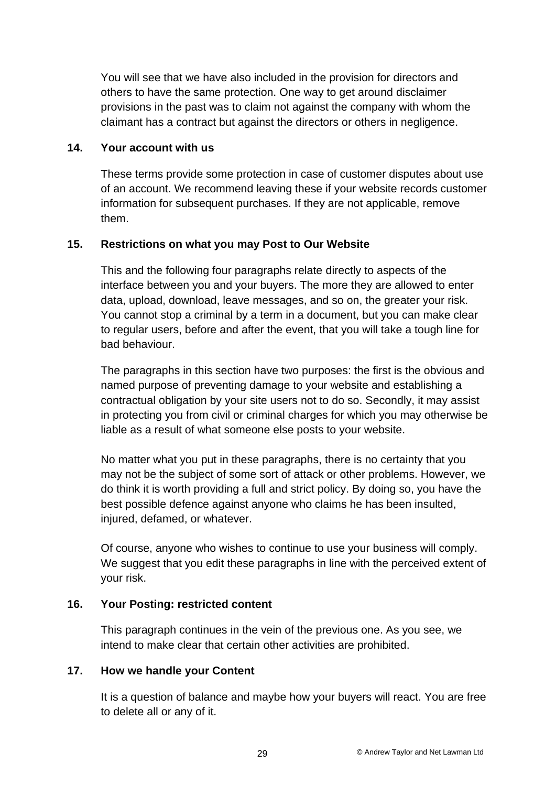You will see that we have also included in the provision for directors and others to have the same protection. One way to get around disclaimer provisions in the past was to claim not against the company with whom the claimant has a contract but against the directors or others in negligence.

### **14. Your account with us**

These terms provide some protection in case of customer disputes about use of an account. We recommend leaving these if your website records customer information for subsequent purchases. If they are not applicable, remove them.

### **15. Restrictions on what you may Post to Our Website**

This and the following four paragraphs relate directly to aspects of the interface between you and your buyers. The more they are allowed to enter data, upload, download, leave messages, and so on, the greater your risk. You cannot stop a criminal by a term in a document, but you can make clear to regular users, before and after the event, that you will take a tough line for bad behaviour.

The paragraphs in this section have two purposes: the first is the obvious and named purpose of preventing damage to your website and establishing a contractual obligation by your site users not to do so. Secondly, it may assist in protecting you from civil or criminal charges for which you may otherwise be liable as a result of what someone else posts to your website.

No matter what you put in these paragraphs, there is no certainty that you may not be the subject of some sort of attack or other problems. However, we do think it is worth providing a full and strict policy. By doing so, you have the best possible defence against anyone who claims he has been insulted, injured, defamed, or whatever.

Of course, anyone who wishes to continue to use your business will comply. We suggest that you edit these paragraphs in line with the perceived extent of your risk.

### **16. Your Posting: restricted content**

This paragraph continues in the vein of the previous one. As you see, we intend to make clear that certain other activities are prohibited.

### **17. How we handle your Content**

It is a question of balance and maybe how your buyers will react. You are free to delete all or any of it.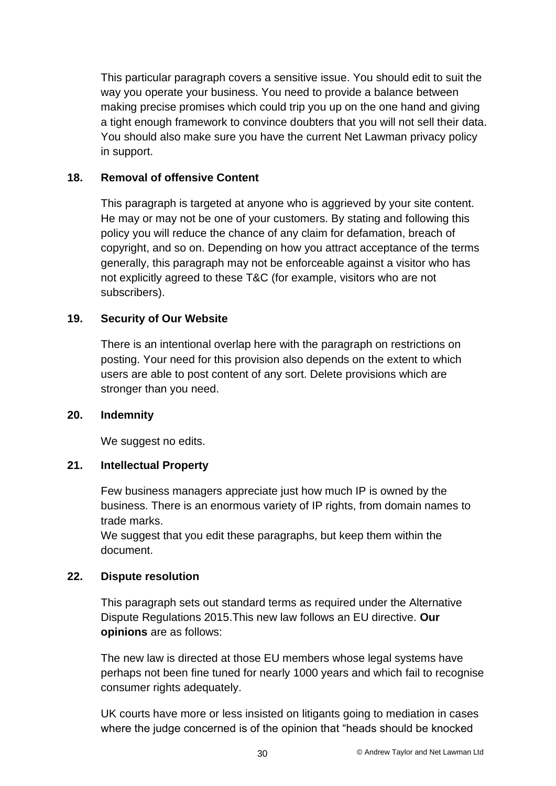This particular paragraph covers a sensitive issue. You should edit to suit the way you operate your business. You need to provide a balance between making precise promises which could trip you up on the one hand and giving a tight enough framework to convince doubters that you will not sell their data. You should also make sure you have the current Net Lawman privacy policy in support.

### **18. Removal of offensive Content**

This paragraph is targeted at anyone who is aggrieved by your site content. He may or may not be one of your customers. By stating and following this policy you will reduce the chance of any claim for defamation, breach of copyright, and so on. Depending on how you attract acceptance of the terms generally, this paragraph may not be enforceable against a visitor who has not explicitly agreed to these T&C (for example, visitors who are not subscribers).

### **19. Security of Our Website**

There is an intentional overlap here with the paragraph on restrictions on posting. Your need for this provision also depends on the extent to which users are able to post content of any sort. Delete provisions which are stronger than you need.

### **20. Indemnity**

We suggest no edits.

### **21. Intellectual Property**

Few business managers appreciate just how much IP is owned by the business. There is an enormous variety of IP rights, from domain names to trade marks.

We suggest that you edit these paragraphs, but keep them within the document.

### **22. Dispute resolution**

This paragraph sets out standard terms as required under the Alternative Dispute Regulations 2015.This new law follows an EU directive. **Our opinions** are as follows:

The new law is directed at those EU members whose legal systems have perhaps not been fine tuned for nearly 1000 years and which fail to recognise consumer rights adequately.

UK courts have more or less insisted on litigants going to mediation in cases where the judge concerned is of the opinion that "heads should be knocked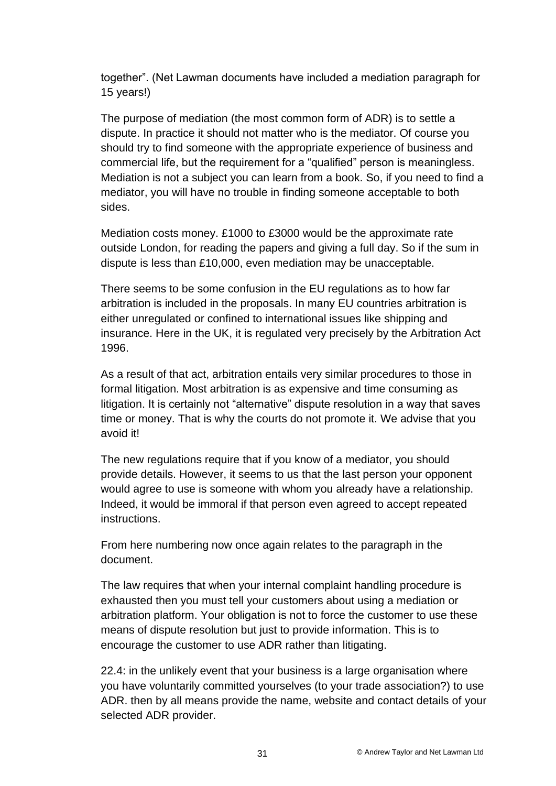together". (Net Lawman documents have included a mediation paragraph for 15 years!)

The purpose of mediation (the most common form of ADR) is to settle a dispute. In practice it should not matter who is the mediator. Of course you should try to find someone with the appropriate experience of business and commercial life, but the requirement for a "qualified" person is meaningless. Mediation is not a subject you can learn from a book. So, if you need to find a mediator, you will have no trouble in finding someone acceptable to both sides.

Mediation costs money. £1000 to £3000 would be the approximate rate outside London, for reading the papers and giving a full day. So if the sum in dispute is less than £10,000, even mediation may be unacceptable.

There seems to be some confusion in the EU regulations as to how far arbitration is included in the proposals. In many EU countries arbitration is either unregulated or confined to international issues like shipping and insurance. Here in the UK, it is regulated very precisely by the Arbitration Act 1996.

As a result of that act, arbitration entails very similar procedures to those in formal litigation. Most arbitration is as expensive and time consuming as litigation. It is certainly not "alternative" dispute resolution in a way that saves time or money. That is why the courts do not promote it. We advise that you avoid it!

The new regulations require that if you know of a mediator, you should provide details. However, it seems to us that the last person your opponent would agree to use is someone with whom you already have a relationship. Indeed, it would be immoral if that person even agreed to accept repeated instructions.

From here numbering now once again relates to the paragraph in the document.

The law requires that when your internal complaint handling procedure is exhausted then you must tell your customers about using a mediation or arbitration platform. Your obligation is not to force the customer to use these means of dispute resolution but just to provide information. This is to encourage the customer to use ADR rather than litigating.

22.4: in the unlikely event that your business is a large organisation where you have voluntarily committed yourselves (to your trade association?) to use ADR. then by all means provide the name, website and contact details of your selected ADR provider.